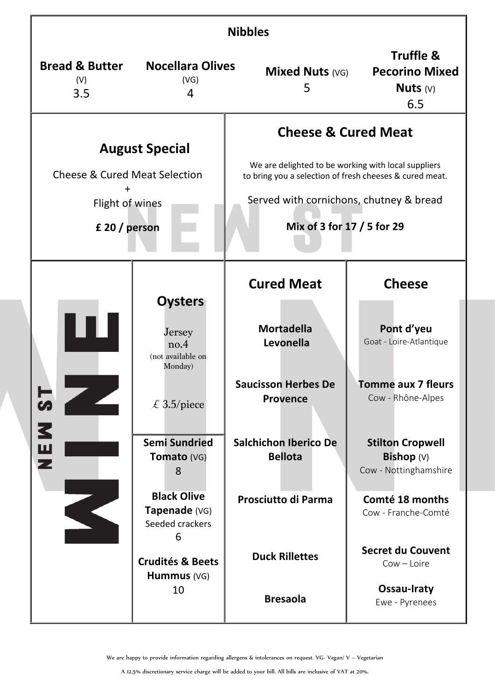| <b>Nibbles</b>                                                                                        |                                                                                                                 |                                                                                                                                                                                                                           |                                                                         |  |  |
|-------------------------------------------------------------------------------------------------------|-----------------------------------------------------------------------------------------------------------------|---------------------------------------------------------------------------------------------------------------------------------------------------------------------------------------------------------------------------|-------------------------------------------------------------------------|--|--|
| <b>Bread &amp; Butter</b><br>(V)<br>3.5                                                               | <b>Nocellara Olives</b><br>(VG)<br>4                                                                            | <b>Mixed Nuts (VG)</b><br>5                                                                                                                                                                                               | <b>Truffle &amp;</b><br><b>Pecorino Mixed</b><br>Nuts $(V)$<br>6.5      |  |  |
| <b>August Special</b><br><b>Cheese &amp; Cured Meat Selection</b><br>Flight of wines<br>£ 20 / person |                                                                                                                 | <b>Cheese &amp; Cured Meat</b><br>We are delighted to be working with local suppliers<br>to bring you a selection of fresh cheeses & cured meat.<br>Served with cornichons, chutney & bread<br>Mix of 3 for 17 / 5 for 29 |                                                                         |  |  |
|                                                                                                       |                                                                                                                 | <b>Cured Meat</b>                                                                                                                                                                                                         | <b>Cheese</b>                                                           |  |  |
| Н<br>S<br>3<br>$\frac{1}{2}$                                                                          | <b>Oysters</b><br>Jersey<br>no.4<br>(not available on<br>Monday)                                                | <b>Mortadella</b><br>Levonella                                                                                                                                                                                            | Pont d'yeu<br>Goat - Loire-Atlantique                                   |  |  |
|                                                                                                       | £ 3.5/piece                                                                                                     | <b>Saucisson Herbes De</b><br><b>Provence</b>                                                                                                                                                                             | <b>Tomme aux 7 fleurs</b><br>Cow - Rhône-Alpes                          |  |  |
|                                                                                                       | <b>Semi Sundried</b><br>Tomato (VG)<br>8                                                                        | <b>Salchichon Iberico De</b><br><b>Bellota</b>                                                                                                                                                                            | <b>Stilton Cropwell</b><br><b>Bishop</b> $(V)$<br>Cow - Nottinghamshire |  |  |
|                                                                                                       | <b>Black Olive</b><br>Tapenade (VG)<br>Seeded crackers<br>6<br><b>Crudités &amp; Beets</b><br>Hummus (VG)<br>10 | <b>Prosciutto di Parma</b>                                                                                                                                                                                                | Comté 18 months<br>Cow - Franche-Comté                                  |  |  |
|                                                                                                       |                                                                                                                 | <b>Duck Rillettes</b>                                                                                                                                                                                                     | <b>Secret du Couvent</b><br>$Cow - Loire$                               |  |  |
|                                                                                                       |                                                                                                                 | <b>Bresaola</b>                                                                                                                                                                                                           | Ossau-Iraty<br>Ewe - Pyrenees                                           |  |  |

We are happy to provide information regarding allergens & intolerances on request. VG- Vegan/ V – Vegetarian

A 12.5% discretionary service charge will be added to your bill. All bills are inclusive of VAT at 20%.